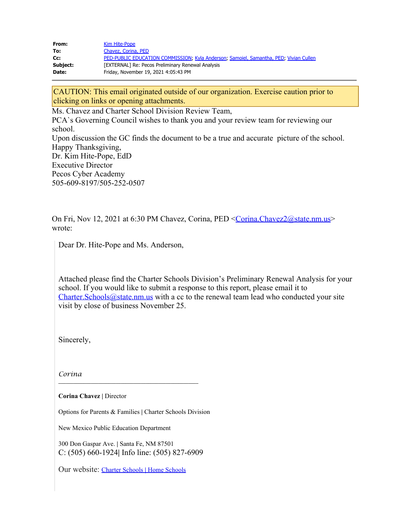| From:    | Kim Hite-Pope                                                                         |
|----------|---------------------------------------------------------------------------------------|
| To:      | Chavez, Corina, PED                                                                   |
| Cc:      | PED-PUBLIC EDUCATION COMMISSION; Kyla Anderson; Samoiel, Samantha, PED; Vivian Cullen |
| Subject: | [EXTERNAL] Re: Pecos Preliminary Renewal Analysis                                     |
| Date:    | Friday, November 19, 2021 4:05:43 PM                                                  |

CAUTION: This email originated outside of our organization. Exercise caution prior to clicking on links or opening attachments.

Ms. Chavez and Charter School Division Review Team,

PCA`s Governing Council wishes to thank you and your review team for reviewing our school. Upon discussion the GC finds the document to be a true and accurate picture of the school. Happy Thanksgiving, Dr. Kim Hite-Pope, EdD Executive Director Pecos Cyber Academy 505-609-8197/505-252-0507

On Fri, Nov 12, 2021 at 6:30 PM Chavez, Corina, PED [<Corina.Chavez2@state.nm.us](mailto:Corina.Chavez2@state.nm.us)> wrote:

Dear Dr. Hite-Pope and Ms. Anderson,

Attached please find the Charter Schools Division's Preliminary Renewal Analysis for your school. If you would like to submit a response to this report, please email it to [Charter.Schools@state.nm.us](mailto:Charter.Schools@state.nm.us) with a cc to the renewal team lead who conducted your site visit by close of business November 25.

Sincerely,

*Corina*

**Corina Chavez |** Director

Options for Parents & Families **|** Charter Schools Division

**\_\_\_\_\_\_\_\_\_\_\_\_\_\_\_\_\_\_\_\_\_\_\_\_\_\_\_\_\_\_\_\_\_\_\_\_\_\_\_\_\_\_\_\_\_\_\_\_\_\_\_\_\_\_\_\_**

New Mexico Public Education Department

300 Don Gaspar Ave. **|** Santa Fe, NM 87501 C: (505) 660-1924**|** Info line: (505) 827-6909

Our website: [Charter Schools](https://webnew.ped.state.nm.us/bureaus/options-parents-families/non-public-schools/) **|** Home Schools